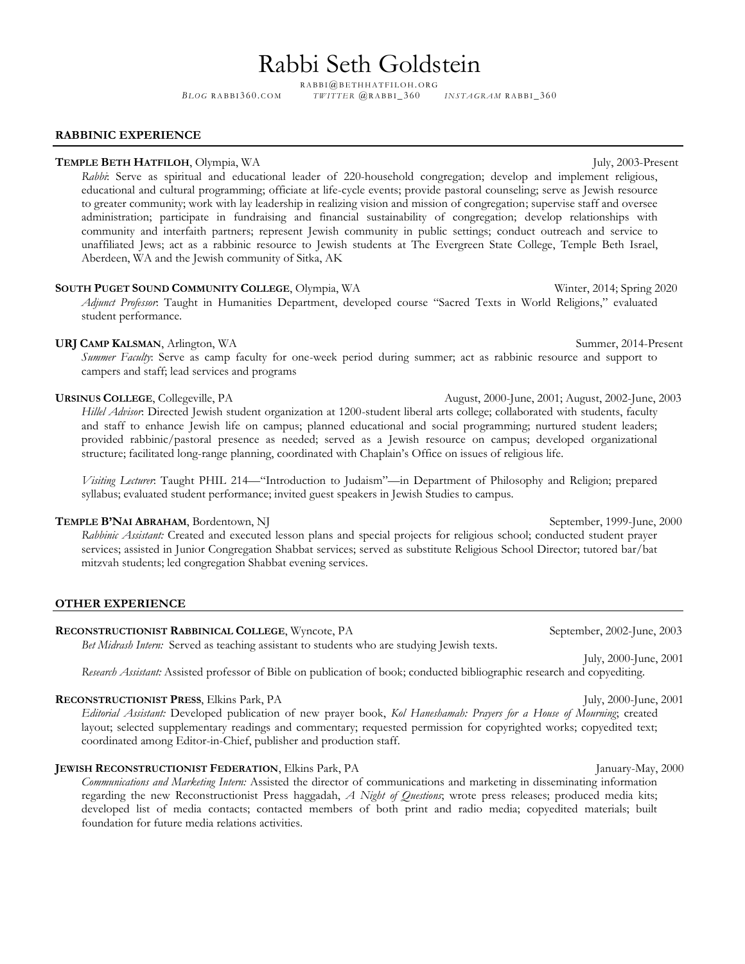# Rabbi Seth Goldstein

RABBI@BETHHATFILOH.ORG

*BLOG* RABBI360.COM *TWITTER @RABBI\_360 INSTAGRAM* RABBI\_360

### **RABBINIC EXPERIENCE**

### **TEMPLE BETH HATFILOH**, Olympia, WA July, 2003-Present

*Rabbi*: Serve as spiritual and educational leader of 220-household congregation; develop and implement religious, educational and cultural programming; officiate at life-cycle events; provide pastoral counseling; serve as Jewish resource to greater community; work with lay leadership in realizing vision and mission of congregation; supervise staff and oversee administration; participate in fundraising and financial sustainability of congregation; develop relationships with community and interfaith partners; represent Jewish community in public settings; conduct outreach and service to unaffiliated Jews; act as a rabbinic resource to Jewish students at The Evergreen State College, Temple Beth Israel, Aberdeen, WA and the Jewish community of Sitka, AK

# **SOUTH PUGET SOUND COMMUNITY COLLEGE**, Olympia, WA Winter, 2014; Spring 2020 *Adjunct Professor*: Taught in Humanities Department, developed course "Sacred Texts in World Religions," evaluated student performance.

# **URJ CAMP KALSMAN**, Arlington, WA Summer, 2014-Present

*Summer Faculty*: Serve as camp faculty for one-week period during summer; act as rabbinic resource and support to campers and staff; lead services and programs

# **URSINUS COLLEGE**, Collegeville, PA August, 2000-June, 2001; August, 2002-June, 2003

*Hillel Advisor*: Directed Jewish student organization at 1200-student liberal arts college; collaborated with students, faculty and staff to enhance Jewish life on campus; planned educational and social programming; nurtured student leaders; provided rabbinic/pastoral presence as needed; served as a Jewish resource on campus; developed organizational structure; facilitated long-range planning, coordinated with Chaplain's Office on issues of religious life.

*Visiting Lecturer*: Taught PHIL 214—"Introduction to Judaism"—in Department of Philosophy and Religion; prepared syllabus; evaluated student performance; invited guest speakers in Jewish Studies to campus.

# **TEMPLE B'NAI ABRAHAM**, Bordentown, NJ September, 1999-June, 2000

*Rabbinic Assistant:* Created and executed lesson plans and special projects for religious school; conducted student prayer services; assisted in Junior Congregation Shabbat services; served as substitute Religious School Director; tutored bar/bat mitzvah students; led congregation Shabbat evening services.

# **OTHER EXPERIENCE**

# **RECONSTRUCTIONIST RABBINICAL COLLEGE**, Wyncote, PA September, 2002-June, 2003

*Bet Midrash Intern:* Served as teaching assistant to students who are studying Jewish texts.

*Research Assistant:* Assisted professor of Bible on publication of book; conducted bibliographic research and copyediting.

### **RECONSTRUCTIONIST PRESS,** Elkins Park, PA July, 2000-June, 2001

*Editorial Assistant:* Developed publication of new prayer book, *Kol Haneshamah: Prayers for a House of Mourning*; created layout; selected supplementary readings and commentary; requested permission for copyrighted works; copyedited text; coordinated among Editor-in-Chief, publisher and production staff.

# **JEWISH RECONSTRUCTIONIST FEDERATION, Elkins Park, PA January-May, 2000**

*Communications and Marketing Intern:* Assisted the director of communications and marketing in disseminating information regarding the new Reconstructionist Press haggadah, *A Night of Questions*; wrote press releases; produced media kits; developed list of media contacts; contacted members of both print and radio media; copyedited materials; built foundation for future media relations activities.

July, 2000-June, 2001

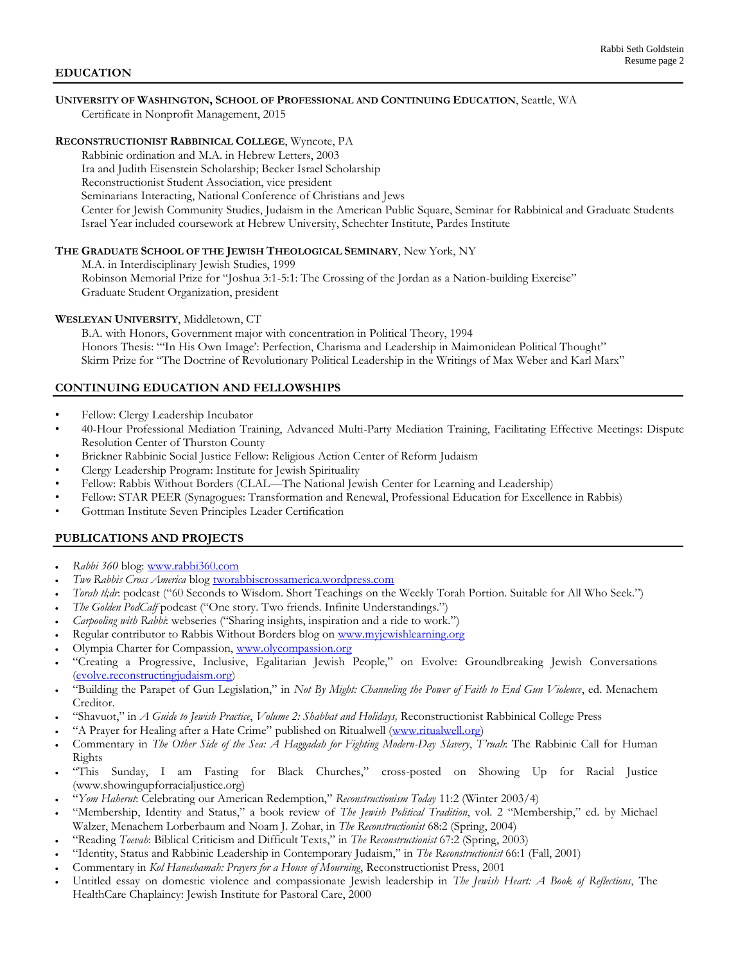# **UNIVERSITY OF WASHINGTON, SCHOOL OF PROFESSIONAL AND CONTINUING EDUCATION**, Seattle, WA

Certificate in Nonprofit Management, 2015

# **RECONSTRUCTIONIST RABBINICAL COLLEGE**, Wyncote, PA

 Rabbinic ordination and M.A. in Hebrew Letters, 2003 Ira and Judith Eisenstein Scholarship; Becker Israel Scholarship Reconstructionist Student Association, vice president Seminarians Interacting, National Conference of Christians and Jews Center for Jewish Community Studies, Judaism in the American Public Square, Seminar for Rabbinical and Graduate Students Israel Year included coursework at Hebrew University, Schechter Institute, Pardes Institute

# **THE GRADUATE SCHOOL OF THE JEWISH THEOLOGICAL SEMINARY**, New York, NY

M.A. in Interdisciplinary Jewish Studies, 1999 Robinson Memorial Prize for "Joshua 3:1-5:1: The Crossing of the Jordan as a Nation-building Exercise" Graduate Student Organization, president

# **WESLEYAN UNIVERSITY**, Middletown, CT

B.A. with Honors, Government major with concentration in Political Theory, 1994 Honors Thesis: "'In His Own Image': Perfection, Charisma and Leadership in Maimonidean Political Thought" Skirm Prize for "The Doctrine of Revolutionary Political Leadership in the Writings of Max Weber and Karl Marx"

# **CONTINUING EDUCATION AND FELLOWSHIPS**

- Fellow: Clergy Leadership Incubator
- 40-Hour Professional Mediation Training, Advanced Multi-Party Mediation Training, Facilitating Effective Meetings: Dispute Resolution Center of Thurston County
- Brickner Rabbinic Social Justice Fellow: Religious Action Center of Reform Judaism
- Clergy Leadership Program: Institute for Jewish Spirituality
- Fellow: Rabbis Without Borders (CLAL—The National Jewish Center for Learning and Leadership)
- Fellow: STAR PEER (Synagogues: Transformation and Renewal, Professional Education for Excellence in Rabbis)
- Gottman Institute Seven Principles Leader Certification

# **PUBLICATIONS AND PROJECTS**

- *Rabbi 360* blog: [www.rabbi360.com](http://www.rabbi360.com/)
- *Two Rabbis Cross America* blog [tworabbiscrossamerica.wordpress.com](http://tworabbiscrossamerica.wordpress.com/)
- *Torah tl;dr*: podcast ("60 Seconds to Wisdom. Short Teachings on the Weekly Torah Portion. Suitable for All Who Seek.")
- *The Golden PodCalf podcast ("One story. Two friends. Infinite Understandings.")*
- *Carpooling with Rabbi*: webseries ("Sharing insights, inspiration and a ride to work.")
- Regular contributor to Rabbis Without Borders blog on [www.myjewishlearning.org](http://www.myjewishlearning.org/)
- Olympia Charter for Compassion, [www.olycompassion.org](http://www.olycompassion.org/)
- "Creating a Progressive, Inclusive, Egalitarian Jewish People," on Evolve: Groundbreaking Jewish Conversations [\(evolve.reconstructingjudaism.org\)](https://evolve.reconstructingjudaism.org/)
- "Building the Parapet of Gun Legislation," in *Not By Might: Channeling the Power of Faith to End Gun Violence*, ed. Menachem Creditor.
- "Shavuot," in *A Guide to Jewish Practice*, *Volume 2: Shabbat and Holidays,* Reconstructionist Rabbinical College Press
- "A Prayer for Healing after a Hate Crime" published on Ritualwell [\(www.ritualwell.org\)](http://www.ritualwell.org/)
- Commentary in *The Other Side of the Sea: A Haggadah for Fighting Modern-Day Slavery*, *T'ruah*: The Rabbinic Call for Human Rights
- "This Sunday, I am Fasting for Black Churches," cross-posted on Showing Up for Racial Justice (www.showingupforracialjustice.org)
- "*Yom Haherut*: Celebrating our American Redemption," *Reconstructionism Today* 11:2 (Winter 2003/4)
- "Membership, Identity and Status," a book review of *The Jewish Political Tradition*, vol. 2 "Membership," ed. by Michael Walzer, Menachem Lorberbaum and Noam J. Zohar, in *The Reconstructionist* 68:2 (Spring, 2004)
- "Reading *Toevah*: Biblical Criticism and Difficult Texts," in *The Reconstructionist* 67:2 (Spring, 2003)
- "Identity, Status and Rabbinic Leadership in Contemporary Judaism," in *The Reconstructionist* 66:1 (Fall, 2001)
- Commentary in *Kol Haneshamah: Prayers for a House of Mourning*, Reconstructionist Press, 2001
- Untitled essay on domestic violence and compassionate Jewish leadership in *The Jewish Heart: A Book of Reflections*, The HealthCare Chaplaincy: Jewish Institute for Pastoral Care, 2000